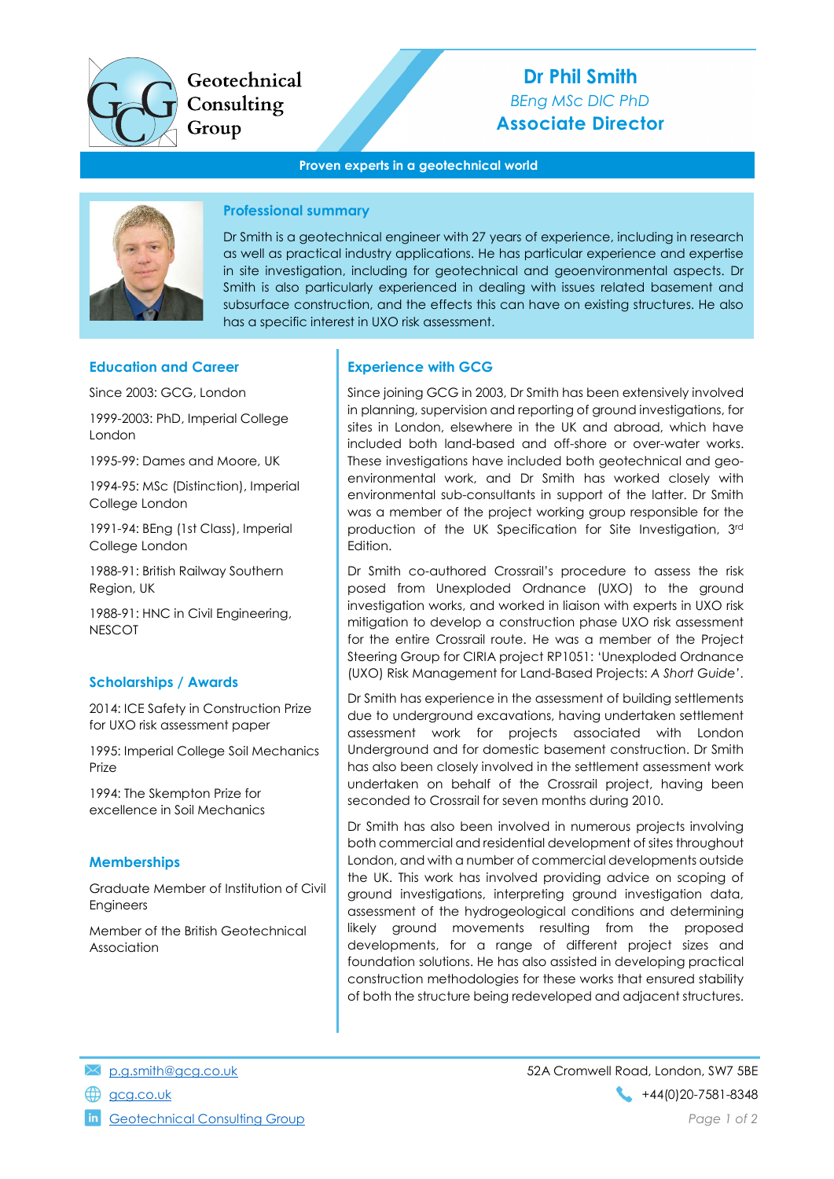

Geotechnical Consulting Group

# Dr Phil Smith BEng MSc DIC PhD Associate Director

#### Proven experts in a geotechnical world



## Professional summary

Dr Smith is a geotechnical engineer with 27 years of experience, including in research as well as practical industry applications. He has particular experience and expertise in site investigation, including for geotechnical and geoenvironmental aspects. Dr Smith is also particularly experienced in dealing with issues related basement and subsurface construction, and the effects this can have on existing structures. He also has a specific interest in UXO risk assessment.

#### Education and Career

Since 2003: GCG, London

1999-2003: PhD, Imperial College London

1995-99: Dames and Moore, UK

1994-95: MSc (Distinction), Imperial College London

1991-94: BEng (1st Class), Imperial College London

1988-91: British Railway Southern Region, UK

1988-91: HNC in Civil Engineering, **NESCOT** 

## Scholarships / Awards

2014: ICE Safety in Construction Prize for UXO risk assessment paper

1995: Imperial College Soil Mechanics Prize

1994: The Skempton Prize for excellence in Soil Mechanics

## **Memberships**

Graduate Member of Institution of Civil Engineers

Member of the British Geotechnical Association

#### Experience with GCG

Since joining GCG in 2003, Dr Smith has been extensively involved in planning, supervision and reporting of ground investigations, for sites in London, elsewhere in the UK and abroad, which have included both land-based and off-shore or over-water works. These investigations have included both geotechnical and geoenvironmental work, and Dr Smith has worked closely with environmental sub-consultants in support of the latter. Dr Smith was a member of the project working group responsible for the production of the UK Specification for Site Investigation, 3rd Edition.

Dr Smith co-authored Crossrail's procedure to assess the risk posed from Unexploded Ordnance (UXO) to the ground investigation works, and worked in liaison with experts in UXO risk mitigation to develop a construction phase UXO risk assessment for the entire Crossrail route. He was a member of the Project Steering Group for CIRIA project RP1051: 'Unexploded Ordnance (UXO) Risk Management for Land-Based Projects: A Short Guide'.

Dr Smith has experience in the assessment of building settlements due to underground excavations, having undertaken settlement assessment work for projects associated with London Underground and for domestic basement construction. Dr Smith has also been closely involved in the settlement assessment work undertaken on behalf of the Crossrail project, having been seconded to Crossrail for seven months during 2010.

Dr Smith has also been involved in numerous projects involving both commercial and residential development of sites throughout London, and with a number of commercial developments outside the UK. This work has involved providing advice on scoping of ground investigations, interpreting ground investigation data, assessment of the hydrogeological conditions and determining likely ground movements resulting from the proposed developments, for a range of different project sizes and foundation solutions. He has also assisted in developing practical construction methodologies for these works that ensured stability of both the structure being redeveloped and adjacent structures.

Geotechnical Consulting Group **Page 1 of 2** and 2 of 2 and 2 of 2 and 2 of 2 and 2 of 2 and 2 of 2 and 2 of 2 and 2 of 2 and 2 of 2 and 2 of 2 and 2 of 2 and 2 of 2 and 2 of 2 and 2 of 2 and 2 of 2 and 2 of 2 and 2 of 2 an

p.g.smith@gcg.co.uk 52A Cromwell Road, London, SW7 5BE gcg.co.uk +44(0)20-7581-8348